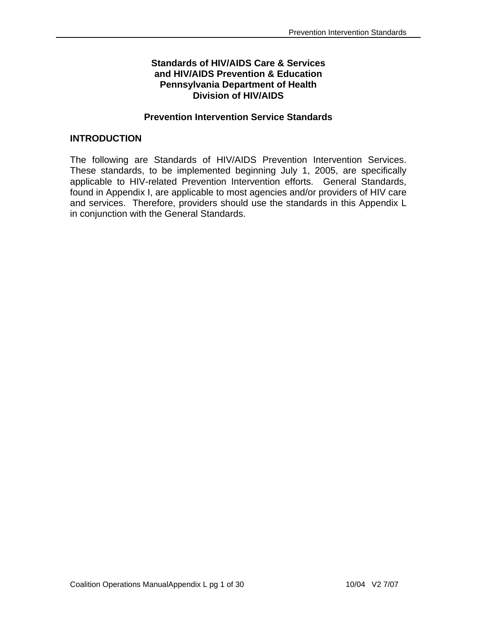## **Standards of HIV/AIDS Care & Services and HIV/AIDS Prevention & Education Pennsylvania Department of Health Division of HIV/AIDS**

## **Prevention Intervention Service Standards**

## **INTRODUCTION**

The following are Standards of HIV/AIDS Prevention Intervention Services. These standards, to be implemented beginning July 1, 2005, are specifically applicable to HIV-related Prevention Intervention efforts. General Standards, found in Appendix I, are applicable to most agencies and/or providers of HIV care and services. Therefore, providers should use the standards in this Appendix L in conjunction with the General Standards.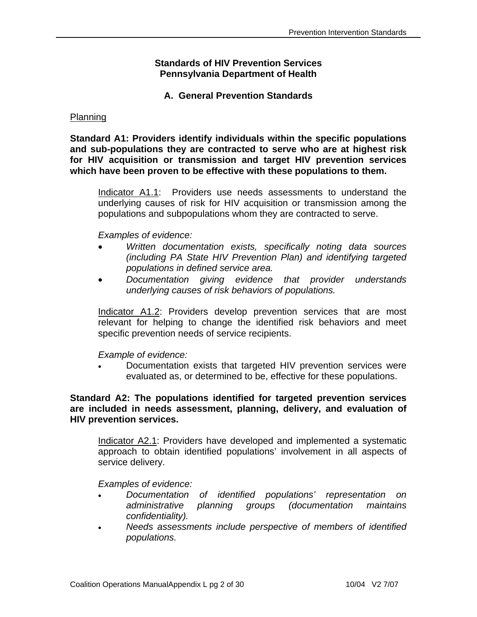### **Standards of HIV Prevention Services Pennsylvania Department of Health**

## **A. General Prevention Standards**

#### Planning

**Standard A1: Providers identify individuals within the specific populations and sub-populations they are contracted to serve who are at highest risk for HIV acquisition or transmission and target HIV prevention services which have been proven to be effective with these populations to them.**

Indicator A1.1: Providers use needs assessments to understand the underlying causes of risk for HIV acquisition or transmission among the populations and subpopulations whom they are contracted to serve.

#### *Examples of evidence:*

- *Written documentation exists, specifically noting data sources (including PA State HIV Prevention Plan) and identifying targeted populations in defined service area.*
- *Documentation giving evidence that provider understands underlying causes of risk behaviors of populations.*

Indicator A1.2: Providers develop prevention services that are most relevant for helping to change the identified risk behaviors and meet specific prevention needs of service recipients.

## *Example of evidence:*

• Documentation exists that targeted HIV prevention services were evaluated as, or determined to be, effective for these populations.

## **Standard A2: The populations identified for targeted prevention services are included in needs assessment, planning, delivery, and evaluation of HIV prevention services.**

Indicator A2.1: Providers have developed and implemented a systematic approach to obtain identified populations' involvement in all aspects of service delivery.

- *Documentation of identified populations' representation on administrative planning groups (documentation maintains confidentiality).*
- *Needs assessments include perspective of members of identified populations.*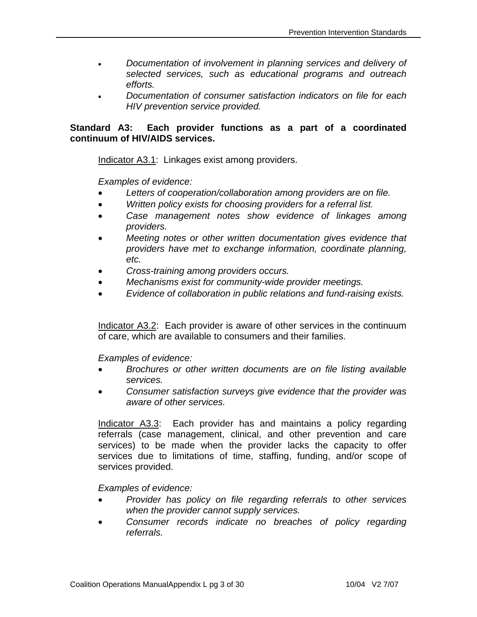- *Documentation of involvement in planning services and delivery of selected services, such as educational programs and outreach efforts.*
- *Documentation of consumer satisfaction indicators on file for each HIV prevention service provided.*

## **Standard A3: Each provider functions as a part of a coordinated continuum of HIV/AIDS services.**

Indicator A3.1: Linkages exist among providers.

*Examples of evidence:* 

- • *Letters of cooperation/collaboration among providers are on file.*
- • *Written policy exists for choosing providers for a referral list.*
- *Case management notes show evidence of linkages among providers.*
- *Meeting notes or other written documentation gives evidence that providers have met to exchange information, coordinate planning, etc.*
- • *Cross-training among providers occurs.*
- • *Mechanisms exist for community-wide provider meetings.*
- • *Evidence of collaboration in public relations and fund-raising exists.*

Indicator A3.2: Each provider is aware of other services in the continuum of care, which are available to consumers and their families.

*Examples of evidence:* 

- *Brochures or other written documents are on file listing available services.*
- *Consumer satisfaction surveys give evidence that the provider was aware of other services.*

Indicator A3.3: Each provider has and maintains a policy regarding referrals (case management, clinical, and other prevention and care services) to be made when the provider lacks the capacity to offer services due to limitations of time, staffing, funding, and/or scope of services provided.

- *Provider has policy on file regarding referrals to other services when the provider cannot supply services.*
- *Consumer records indicate no breaches of policy regarding referrals.*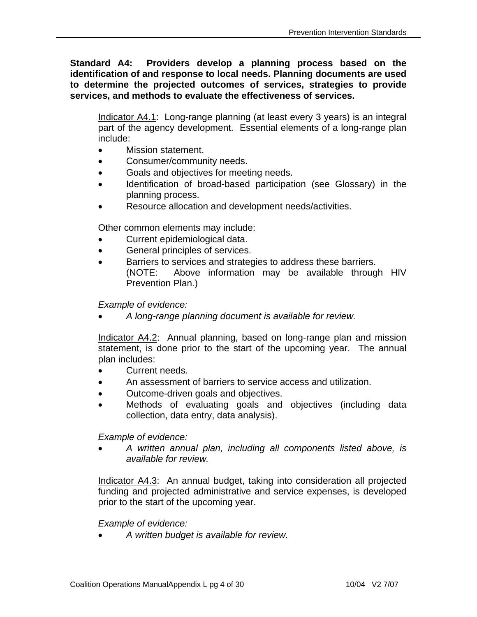**Standard A4: Providers develop a planning process based on the identification of and response to local needs. Planning documents are used to determine the projected outcomes of services, strategies to provide services, and methods to evaluate the effectiveness of services.** 

Indicator A4.1: Long-range planning (at least every 3 years) is an integral part of the agency development. Essential elements of a long-range plan include:

- Mission statement.
- Consumer/community needs.
- Goals and objectives for meeting needs.
- Identification of broad-based participation (see Glossary) in the planning process.
- Resource allocation and development needs/activities.

Other common elements may include:

- Current epidemiological data.
- General principles of services.
- Barriers to services and strategies to address these barriers. (NOTE: Above information may be available through HIV Prevention Plan.)

*Example of evidence:* 

• *A long-range planning document is available for review.* 

Indicator A4.2: Annual planning, based on long-range plan and mission statement, is done prior to the start of the upcoming year. The annual plan includes:

- Current needs.
- An assessment of barriers to service access and utilization.
- Outcome-driven goals and objectives.
- Methods of evaluating goals and objectives (including data collection, data entry, data analysis).

*Example of evidence:* 

• *A written annual plan, including all components listed above, is available for review.* 

Indicator A4.3: An annual budget, taking into consideration all projected funding and projected administrative and service expenses, is developed prior to the start of the upcoming year.

*Example of evidence:* 

• *A written budget is available for review.*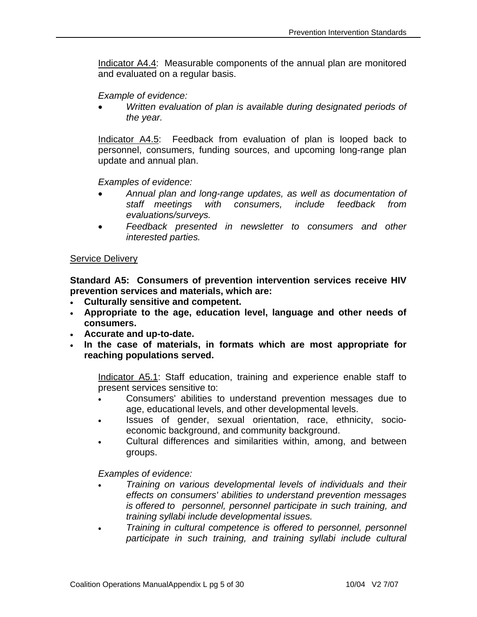Indicator A4.4: Measurable components of the annual plan are monitored and evaluated on a regular basis.

*Example of evidence:* 

• *Written evaluation of plan is available during designated periods of the year.* 

Indicator A4.5: Feedback from evaluation of plan is looped back to personnel, consumers, funding sources, and upcoming long-range plan update and annual plan.

*Examples of evidence:* 

- *Annual plan and long-range updates, as well as documentation of staff meetings with consumers, include feedback from evaluations/surveys.*
- *Feedback presented in newsletter to consumers and other interested parties.*

## Service Delivery

**Standard A5: Consumers of prevention intervention services receive HIV prevention services and materials, which are:** 

- **Culturally sensitive and competent.**
- **Appropriate to the age, education level, language and other needs of consumers.**
- **Accurate and up-to-date.**
- **In the case of materials, in formats which are most appropriate for reaching populations served.**

Indicator A5.1: Staff education, training and experience enable staff to present services sensitive to:

- Consumers' abilities to understand prevention messages due to age, educational levels, and other developmental levels.
- Issues of gender, sexual orientation, race, ethnicity, socioeconomic background, and community background.
- Cultural differences and similarities within, among, and between groups.

- *Training on various developmental levels of individuals and their effects on consumers' abilities to understand prevention messages is offered to personnel, personnel participate in such training, and training syllabi include developmental issues.*
- *Training in cultural competence is offered to personnel, personnel participate in such training, and training syllabi include cultural*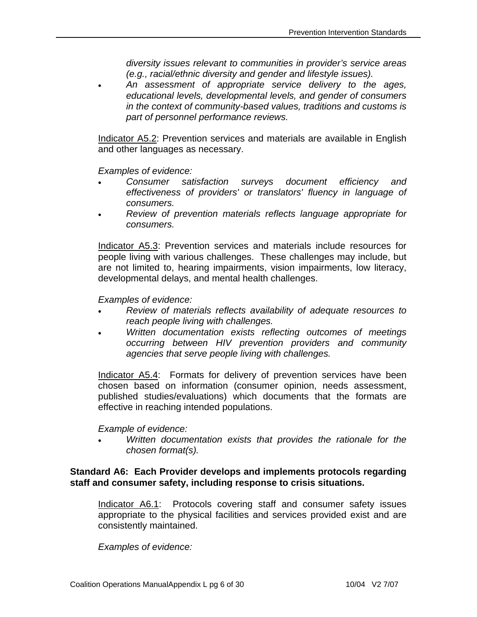*diversity issues relevant to communities in provider's service areas (e.g., racial/ethnic diversity and gender and lifestyle issues).* 

• *An assessment of appropriate service delivery to the ages, educational levels, developmental levels, and gender of consumers in the context of community-based values, traditions and customs is part of personnel performance reviews.* 

Indicator A5.2: Prevention services and materials are available in English and other languages as necessary.

*Examples of evidence:* 

- *Consumer satisfaction surveys document efficiency and effectiveness of providers' or translators' fluency in language of consumers.*
- *Review of prevention materials reflects language appropriate for consumers.*

Indicator A5.3: Prevention services and materials include resources for people living with various challenges. These challenges may include, but are not limited to, hearing impairments, vision impairments, low literacy, developmental delays, and mental health challenges.

*Examples of evidence:* 

- *Review of materials reflects availability of adequate resources to reach people living with challenges.*
- *Written documentation exists reflecting outcomes of meetings occurring between HIV prevention providers and community agencies that serve people living with challenges.*

Indicator A5.4: Formats for delivery of prevention services have been chosen based on information (consumer opinion, needs assessment, published studies/evaluations) which documents that the formats are effective in reaching intended populations.

*Example of evidence:* 

• *Written documentation exists that provides the rationale for the chosen format(s).* 

### **Standard A6: Each Provider develops and implements protocols regarding staff and consumer safety, including response to crisis situations.**

Indicator A6.1: Protocols covering staff and consumer safety issues appropriate to the physical facilities and services provided exist and are consistently maintained.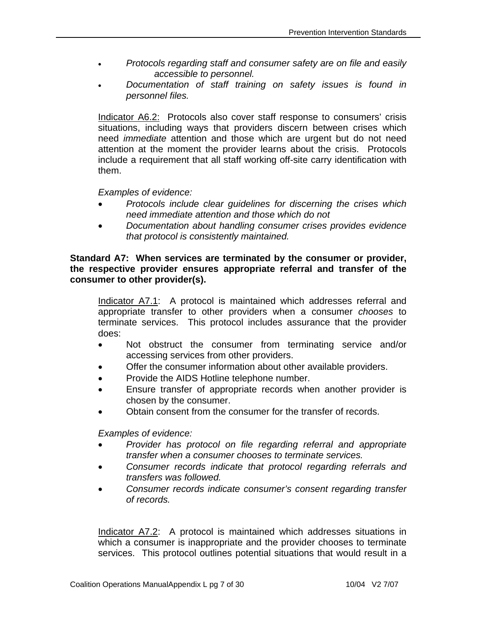- *Protocols regarding staff and consumer safety are on file and easily accessible to personnel.*
- *Documentation of staff training on safety issues is found in personnel files.*

Indicator A6.2: Protocols also cover staff response to consumers' crisis situations, including ways that providers discern between crises which need *immediate* attention and those which are urgent but do not need attention at the moment the provider learns about the crisis. Protocols include a requirement that all staff working off-site carry identification with them.

### *Examples of evidence:*

- *Protocols include clear guidelines for discerning the crises which need immediate attention and those which do not*
- *Documentation about handling consumer crises provides evidence that protocol is consistently maintained.*

## **Standard A7: When services are terminated by the consumer or provider, the respective provider ensures appropriate referral and transfer of the consumer to other provider(s).**

Indicator A7.1: A protocol is maintained which addresses referral and appropriate transfer to other providers when a consumer *chooses* to terminate services. This protocol includes assurance that the provider does:

- Not obstruct the consumer from terminating service and/or accessing services from other providers.
- Offer the consumer information about other available providers.
- Provide the AIDS Hotline telephone number.
- Ensure transfer of appropriate records when another provider is chosen by the consumer.
- Obtain consent from the consumer for the transfer of records.

*Examples of evidence:* 

- *Provider has protocol on file regarding referral and appropriate transfer when a consumer chooses to terminate services.*
- *Consumer records indicate that protocol regarding referrals and transfers was followed.*
- *Consumer records indicate consumer's consent regarding transfer of records.*

Indicator A7.2: A protocol is maintained which addresses situations in which a consumer is inappropriate and the provider chooses to terminate services. This protocol outlines potential situations that would result in a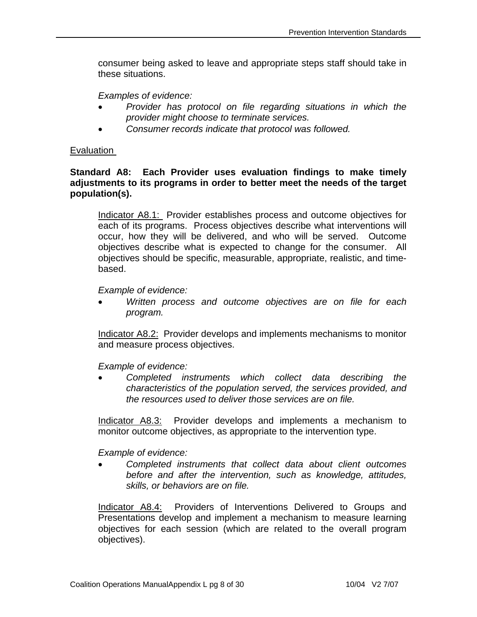consumer being asked to leave and appropriate steps staff should take in these situations.

*Examples of evidence:* 

- *Provider has protocol on file regarding situations in which the provider might choose to terminate services.*
- *Consumer records indicate that protocol was followed.*

## Evaluation

## **Standard A8: Each Provider uses evaluation findings to make timely adjustments to its programs in order to better meet the needs of the target population(s).**

Indicator A8.1: Provider establishes process and outcome objectives for each of its programs. Process objectives describe what interventions will occur, how they will be delivered, and who will be served. Outcome objectives describe what is expected to change for the consumer. All objectives should be specific, measurable, appropriate, realistic, and timebased.

#### *Example of evidence:*

• *Written process and outcome objectives are on file for each program.* 

Indicator A8.2: Provider develops and implements mechanisms to monitor and measure process objectives.

 *Example of evidence:* 

• *Completed instruments which collect data describing the characteristics of the population served, the services provided, and the resources used to deliver those services are on file.* 

Indicator A8.3: Provider develops and implements a mechanism to monitor outcome objectives, as appropriate to the intervention type.

## *Example of evidence:*

• *Completed instruments that collect data about client outcomes before and after the intervention, such as knowledge, attitudes, skills, or behaviors are on file.* 

Indicator A8.4: Providers of Interventions Delivered to Groups and Presentations develop and implement a mechanism to measure learning objectives for each session (which are related to the overall program objectives).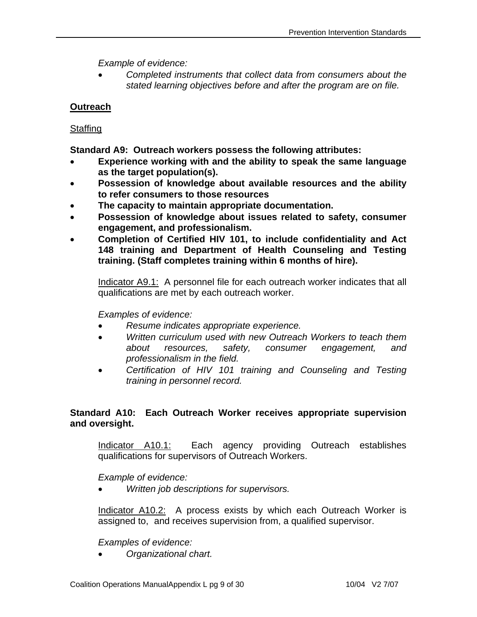*Example of evidence:* 

• *Completed instruments that collect data from consumers about the stated learning objectives before and after the program are on file.* 

# **Outreach**

# **Staffing**

**Standard A9: Outreach workers possess the following attributes:** 

- **Experience working with and the ability to speak the same language as the target population(s).**
- **Possession of knowledge about available resources and the ability to refer consumers to those resources**
- **The capacity to maintain appropriate documentation.**
- **Possession of knowledge about issues related to safety, consumer engagement, and professionalism.**
- **Completion of Certified HIV 101, to include confidentiality and Act 148 training and Department of Health Counseling and Testing training. (Staff completes training within 6 months of hire).**

Indicator A9.1: A personnel file for each outreach worker indicates that all qualifications are met by each outreach worker.

# *Examples of evidence:*

- *Resume indicates appropriate experience.*
- *Written curriculum used with new Outreach Workers to teach them about resources, safety, consumer engagement, and professionalism in the field.*
- *Certification of HIV 101 training and Counseling and Testing training in personnel record.*

# **Standard A10: Each Outreach Worker receives appropriate supervision and oversight.**

Indicator A10.1: Each agency providing Outreach establishes qualifications for supervisors of Outreach Workers.

 *Example of evidence:* 

• *Written job descriptions for supervisors.* 

Indicator A10.2: A process exists by which each Outreach Worker is assigned to, and receives supervision from, a qualified supervisor.

## *Examples of evidence:*

• *Organizational chart.*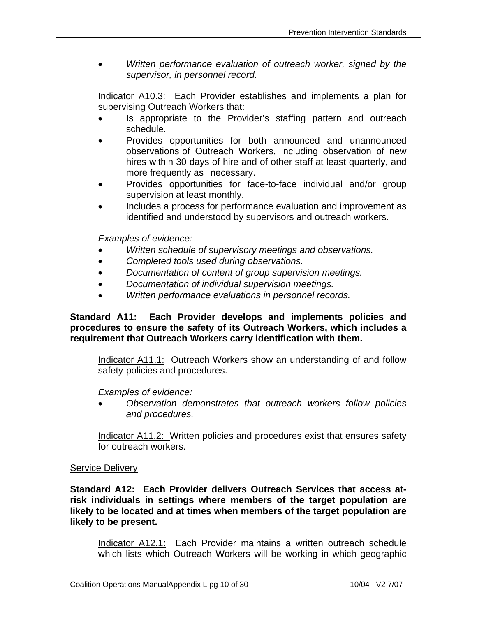• *Written performance evaluation of outreach worker, signed by the supervisor, in personnel record.* 

Indicator A10.3: Each Provider establishes and implements a plan for supervising Outreach Workers that:

- Is appropriate to the Provider's staffing pattern and outreach schedule.
- Provides opportunities for both announced and unannounced observations of Outreach Workers, including observation of new hires within 30 days of hire and of other staff at least quarterly, and more frequently as necessary.
- Provides opportunities for face-to-face individual and/or group supervision at least monthly.
- Includes a process for performance evaluation and improvement as identified and understood by supervisors and outreach workers.

 *Examples of evidence:* 

- *Written schedule of supervisory meetings and observations.*
- *Completed tools used during observations.*
- *Documentation of content of group supervision meetings.*
- *Documentation of individual supervision meetings.*
- *Written performance evaluations in personnel records.*

**Standard A11: Each Provider develops and implements policies and procedures to ensure the safety of its Outreach Workers, which includes a requirement that Outreach Workers carry identification with them.** 

Indicator A11.1: Outreach Workers show an understanding of and follow safety policies and procedures.

## *Examples of evidence:*

• *Observation demonstrates that outreach workers follow policies and procedures.* 

Indicator A11.2: Written policies and procedures exist that ensures safety for outreach workers.

## Service Delivery

**Standard A12: Each Provider delivers Outreach Services that access atrisk individuals in settings where members of the target population are likely to be located and at times when members of the target population are likely to be present.** 

Indicator A12.1: Each Provider maintains a written outreach schedule which lists which Outreach Workers will be working in which geographic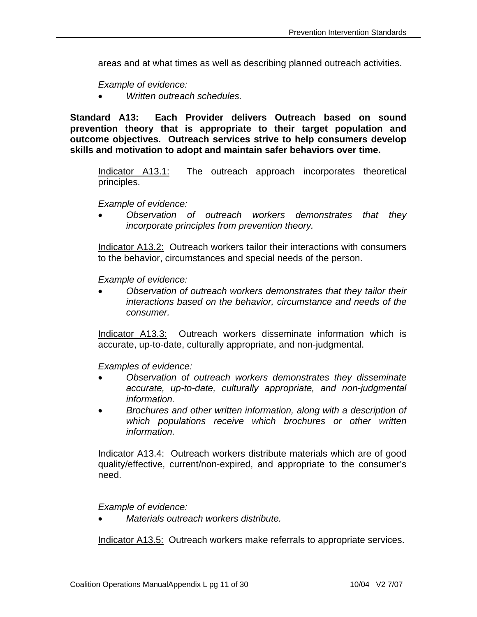areas and at what times as well as describing planned outreach activities.

 *Example of evidence:* 

• *Written outreach schedules.* 

**Standard A13: Each Provider delivers Outreach based on sound prevention theory that is appropriate to their target population and outcome objectives. Outreach services strive to help consumers develop skills and motivation to adopt and maintain safer behaviors over time.** 

Indicator A13.1: The outreach approach incorporates theoretical principles.

*Example of evidence:* 

• *Observation of outreach workers demonstrates that they incorporate principles from prevention theory.*

Indicator A13.2: Outreach workers tailor their interactions with consumers to the behavior, circumstances and special needs of the person.

*Example of evidence:* 

• *Observation of outreach workers demonstrates that they tailor their interactions based on the behavior, circumstance and needs of the consumer.*

Indicator A13.3: Outreach workers disseminate information which is accurate, up-to-date, culturally appropriate, and non-judgmental.

 *Examples of evidence:* 

- *Observation of outreach workers demonstrates they disseminate accurate, up-to-date, culturally appropriate, and non-judgmental information.*
- *Brochures and other written information, along with a description of which populations receive which brochures or other written information.*

Indicator A13.4: Outreach workers distribute materials which are of good quality/effective, current/non-expired, and appropriate to the consumer's need.

 *Example of evidence:* 

• *Materials outreach workers distribute.*

Indicator A13.5: Outreach workers make referrals to appropriate services.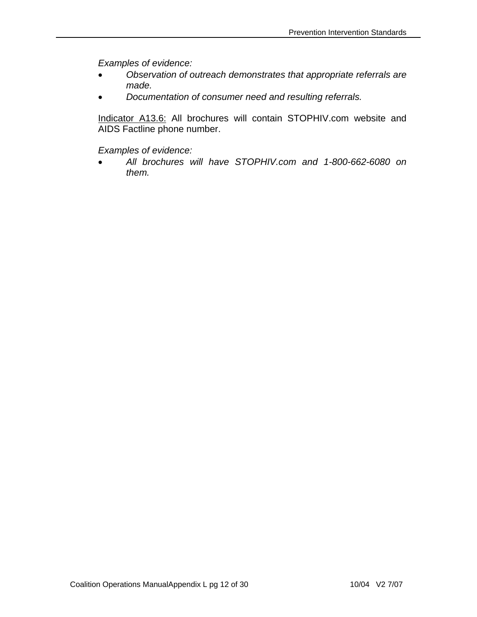*Examples of evidence:* 

- *Observation of outreach demonstrates that appropriate referrals are made.*
- *Documentation of consumer need and resulting referrals.*

Indicator A13.6: All brochures will contain STOPHIV.com website and AIDS Factline phone number.

*Examples of evidence:* 

• *All brochures will have STOPHIV.com and 1-800-662-6080 on them.*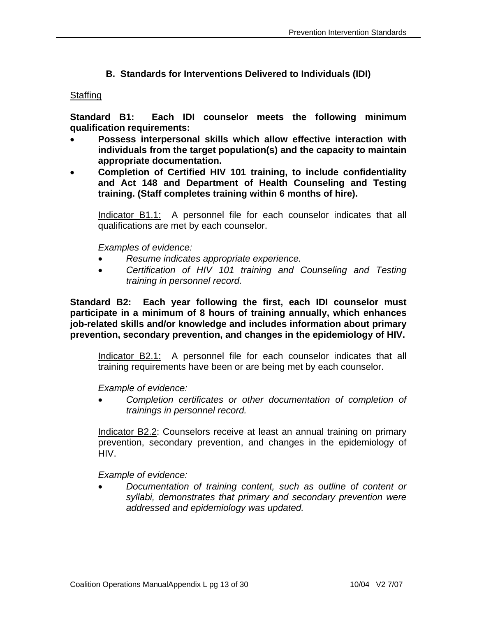# **B. Standards for Interventions Delivered to Individuals (IDI)**

### Staffing

**Standard B1: Each IDI counselor meets the following minimum qualification requirements:** 

- **Possess interpersonal skills which allow effective interaction with individuals from the target population(s) and the capacity to maintain appropriate documentation.**
- **Completion of Certified HIV 101 training, to include confidentiality and Act 148 and Department of Health Counseling and Testing training. (Staff completes training within 6 months of hire).**

Indicator B1.1: A personnel file for each counselor indicates that all qualifications are met by each counselor.

 *Examples of evidence:* 

- *Resume indicates appropriate experience.*
- *Certification of HIV 101 training and Counseling and Testing training in personnel record.*

**Standard B2: Each year following the first, each IDI counselor must participate in a minimum of 8 hours of training annually, which enhances job-related skills and/or knowledge and includes information about primary prevention, secondary prevention, and changes in the epidemiology of HIV.** 

Indicator B2.1: A personnel file for each counselor indicates that all training requirements have been or are being met by each counselor.

*Example of evidence:* 

• *Completion certificates or other documentation of completion of trainings in personnel record.* 

Indicator B2.2: Counselors receive at least an annual training on primary prevention, secondary prevention, and changes in the epidemiology of HIV.

*Example of evidence:* 

• *Documentation of training content, such as outline of content or syllabi, demonstrates that primary and secondary prevention were addressed and epidemiology was updated.*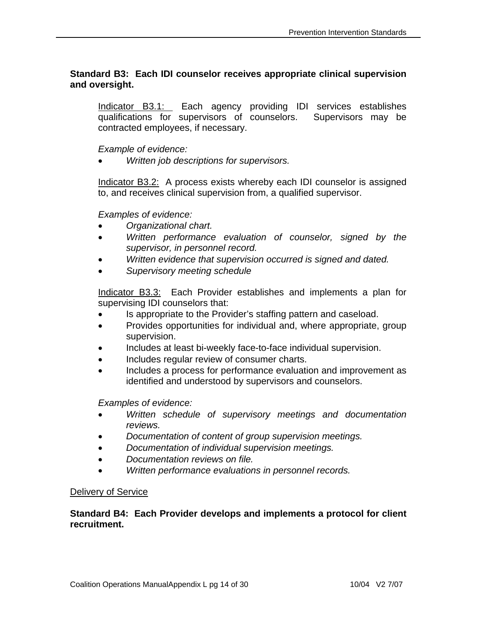# **Standard B3: Each IDI counselor receives appropriate clinical supervision and oversight.**

Indicator B3.1: Each agency providing IDI services establishes qualifications for supervisors of counselors. Supervisors may be contracted employees, if necessary.

 *Example of evidence:* 

• *Written job descriptions for supervisors.* 

Indicator B3.2: A process exists whereby each IDI counselor is assigned to, and receives clinical supervision from, a qualified supervisor.

 *Examples of evidence:* 

- *Organizational chart.*
- *Written performance evaluation of counselor, signed by the supervisor, in personnel record.*
- *Written evidence that supervision occurred is signed and dated.*
- *Supervisory meeting schedule*

Indicator B3.3: Each Provider establishes and implements a plan for supervising IDI counselors that:

- Is appropriate to the Provider's staffing pattern and caseload.
- Provides opportunities for individual and, where appropriate, group supervision.
- Includes at least bi-weekly face-to-face individual supervision.
- Includes regular review of consumer charts.
- Includes a process for performance evaluation and improvement as identified and understood by supervisors and counselors.

*Examples of evidence:* 

- *Written schedule of supervisory meetings and documentation reviews.*
- *Documentation of content of group supervision meetings.*
- *Documentation of individual supervision meetings.*
- *Documentation reviews on file.*
- *Written performance evaluations in personnel records.*

## Delivery of Service

## **Standard B4: Each Provider develops and implements a protocol for client recruitment.**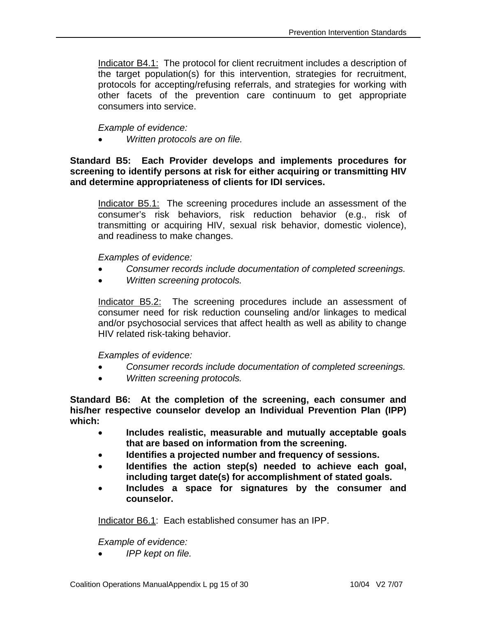Indicator B4.1: The protocol for client recruitment includes a description of the target population(s) for this intervention, strategies for recruitment, protocols for accepting/refusing referrals, and strategies for working with other facets of the prevention care continuum to get appropriate consumers into service.

# *Example of evidence:*

• *Written protocols are on file.* 

**Standard B5: Each Provider develops and implements procedures for screening to identify persons at risk for either acquiring or transmitting HIV and determine appropriateness of clients for IDI services.** 

Indicator B5.1: The screening procedures include an assessment of the consumer's risk behaviors, risk reduction behavior (e.g., risk of transmitting or acquiring HIV, sexual risk behavior, domestic violence), and readiness to make changes.

 *Examples of evidence:* 

- *Consumer records include documentation of completed screenings.*
- *Written screening protocols.*

Indicator B5.2: The screening procedures include an assessment of consumer need for risk reduction counseling and/or linkages to medical and/or psychosocial services that affect health as well as ability to change HIV related risk-taking behavior.

## *Examples of evidence:*

- *Consumer records include documentation of completed screenings.*
- *Written screening protocols.*

**Standard B6: At the completion of the screening, each consumer and his/her respective counselor develop an Individual Prevention Plan (IPP) which:** 

- **Includes realistic, measurable and mutually acceptable goals that are based on information from the screening.**
- **Identifies a projected number and frequency of sessions.**
- **Identifies the action step(s) needed to achieve each goal, including target date(s) for accomplishment of stated goals.**
- **Includes a space for signatures by the consumer and counselor.**

Indicator B6.1: Each established consumer has an IPP.

 *Example of evidence:* 

• *IPP kept on file.*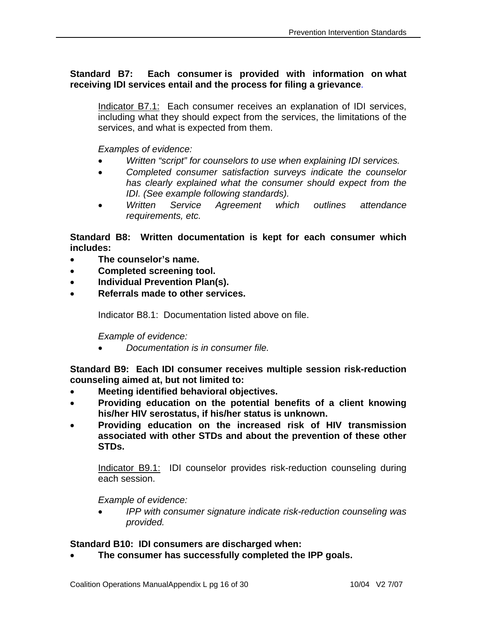# **Standard B7: Each consumer is provided with information on what receiving IDI services entail and the process for filing a grievance**.

Indicator B7.1: Each consumer receives an explanation of IDI services, including what they should expect from the services, the limitations of the services, and what is expected from them.

 *Examples of evidence:* 

- *Written "script" for counselors to use when explaining IDI services.*
- *Completed consumer satisfaction surveys indicate the counselor has clearly explained what the consumer should expect from the IDI. (See example following standards).*
- *Written Service Agreement which outlines attendance requirements, etc.*

**Standard B8: Written documentation is kept for each consumer which includes:** 

- **The counselor's name.**
- **Completed screening tool.**
- **Individual Prevention Plan(s).**
- **Referrals made to other services.**

Indicator B8.1: Documentation listed above on file.

*Example of evidence:* 

• *Documentation is in consumer file.* 

**Standard B9: Each IDI consumer receives multiple session risk-reduction counseling aimed at, but not limited to:** 

- **Meeting identified behavioral objectives.**
- **Providing education on the potential benefits of a client knowing his/her HIV serostatus, if his/her status is unknown.**
- **Providing education on the increased risk of HIV transmission associated with other STDs and about the prevention of these other STDs.**

Indicator B9.1: IDI counselor provides risk-reduction counseling during each session.

*Example of evidence:* 

• *IPP with consumer signature indicate risk-reduction counseling was provided.* 

## **Standard B10: IDI consumers are discharged when:**

• **The consumer has successfully completed the IPP goals.**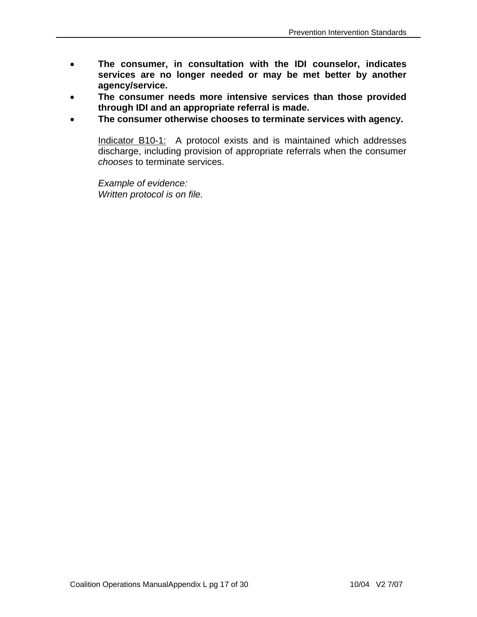- **The consumer, in consultation with the IDI counselor, indicates services are no longer needed or may be met better by another agency/service.**
- **The consumer needs more intensive services than those provided through IDI and an appropriate referral is made.**
- **The consumer otherwise chooses to terminate services with agency.**

Indicator B10-1: A protocol exists and is maintained which addresses discharge, including provision of appropriate referrals when the consumer *chooses* to terminate services.

*Example of evidence: Written protocol is on file.*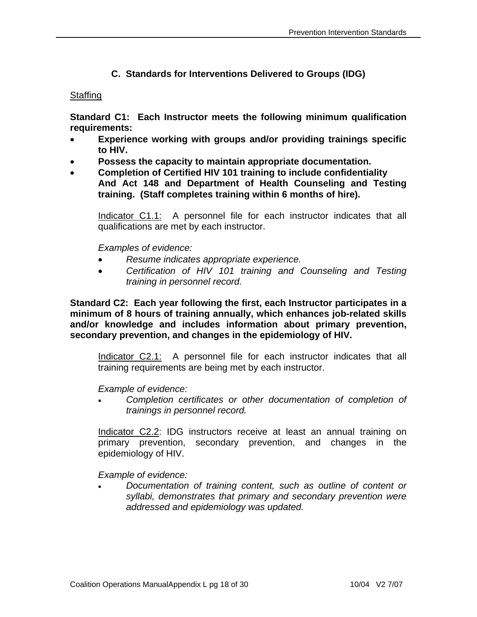# **C. Standards for Interventions Delivered to Groups (IDG)**

### Staffing

**Standard C1: Each Instructor meets the following minimum qualification requirements:** 

- **Experience working with groups and/or providing trainings specific to HIV.**
- **Possess the capacity to maintain appropriate documentation.**
- **Completion of Certified HIV 101 training to include confidentiality And Act 148 and Department of Health Counseling and Testing training. (Staff completes training within 6 months of hire).**

Indicator C1.1: A personnel file for each instructor indicates that all qualifications are met by each instructor.

 *Examples of evidence:* 

- *Resume indicates appropriate experience.*
- *Certification of HIV 101 training and Counseling and Testing training in personnel record.*

**Standard C2: Each year following the first, each Instructor participates in a minimum of 8 hours of training annually, which enhances job-related skills and/or knowledge and includes information about primary prevention, secondary prevention, and changes in the epidemiology of HIV.** 

Indicator C2.1: A personnel file for each instructor indicates that all training requirements are being met by each instructor.

 *Example of evidence:* 

• *Completion certificates or other documentation of completion of trainings in personnel record.* 

Indicator C2.2: IDG instructors receive at least an annual training on primary prevention, secondary prevention, and changes in the epidemiology of HIV.

 *Example of evidence:* 

• *Documentation of training content, such as outline of content or syllabi, demonstrates that primary and secondary prevention were addressed and epidemiology was updated.*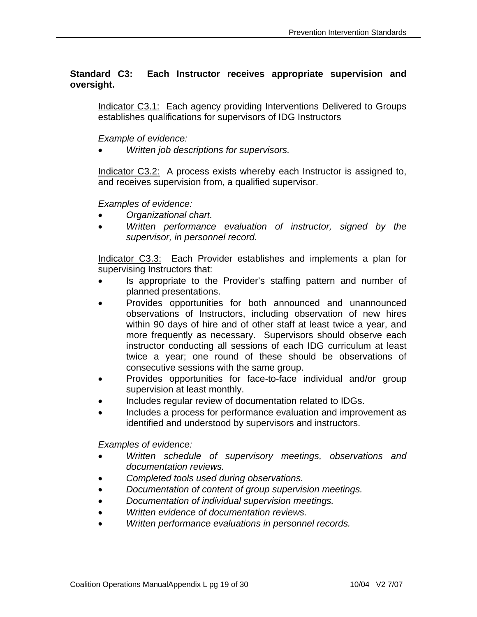# **Standard C3: Each Instructor receives appropriate supervision and oversight.**

Indicator C3.1: Each agency providing Interventions Delivered to Groups establishes qualifications for supervisors of IDG Instructors

 *Example of evidence:* 

• *Written job descriptions for supervisors.* 

Indicator C3.2: A process exists whereby each Instructor is assigned to, and receives supervision from, a qualified supervisor.

 *Examples of evidence:* 

- *Organizational chart.*
- *Written performance evaluation of instructor, signed by the supervisor, in personnel record.*

Indicator C3.3: Each Provider establishes and implements a plan for supervising Instructors that:

- Is appropriate to the Provider's staffing pattern and number of planned presentations.
- Provides opportunities for both announced and unannounced observations of Instructors, including observation of new hires within 90 days of hire and of other staff at least twice a year, and more frequently as necessary. Supervisors should observe each instructor conducting all sessions of each IDG curriculum at least twice a year; one round of these should be observations of consecutive sessions with the same group.
- Provides opportunities for face-to-face individual and/or group supervision at least monthly.
- Includes regular review of documentation related to IDGs.
- Includes a process for performance evaluation and improvement as identified and understood by supervisors and instructors.

- *Written schedule of supervisory meetings, observations and documentation reviews.*
- *Completed tools used during observations.*
- *Documentation of content of group supervision meetings.*
- *Documentation of individual supervision meetings.*
- *Written evidence of documentation reviews.*
- *Written performance evaluations in personnel records.*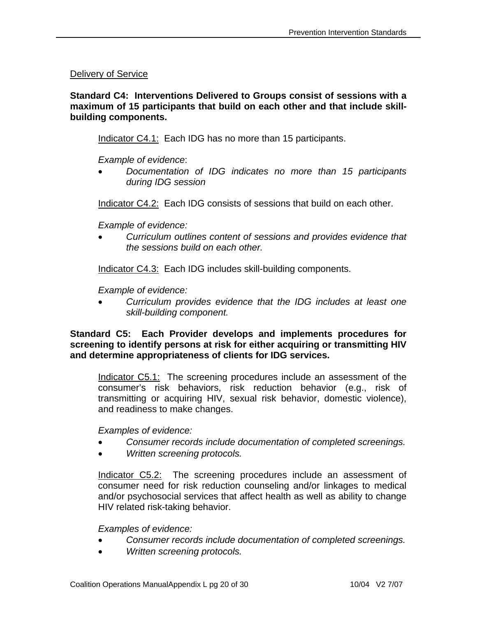Delivery of Service

**Standard C4: Interventions Delivered to Groups consist of sessions with a maximum of 15 participants that build on each other and that include skillbuilding components.** 

Indicator C4.1: Each IDG has no more than 15 participants.

*Example of evidence*:

• *Documentation of IDG indicates no more than 15 participants during IDG session* 

Indicator C4.2: Each IDG consists of sessions that build on each other.

 *Example of evidence:* 

• *Curriculum outlines content of sessions and provides evidence that the sessions build on each other.* 

Indicator C4.3: Each IDG includes skill-building components.

 *Example of evidence:* 

• *Curriculum provides evidence that the IDG includes at least one skill-building component.* 

**Standard C5: Each Provider develops and implements procedures for screening to identify persons at risk for either acquiring or transmitting HIV and determine appropriateness of clients for IDG services.** 

Indicator C5.1: The screening procedures include an assessment of the consumer's risk behaviors, risk reduction behavior (e.g., risk of transmitting or acquiring HIV, sexual risk behavior, domestic violence), and readiness to make changes.

 *Examples of evidence:* 

- *Consumer records include documentation of completed screenings.*
- *Written screening protocols.*

Indicator C5.2: The screening procedures include an assessment of consumer need for risk reduction counseling and/or linkages to medical and/or psychosocial services that affect health as well as ability to change HIV related risk-taking behavior.

- *Consumer records include documentation of completed screenings.*
- *Written screening protocols.*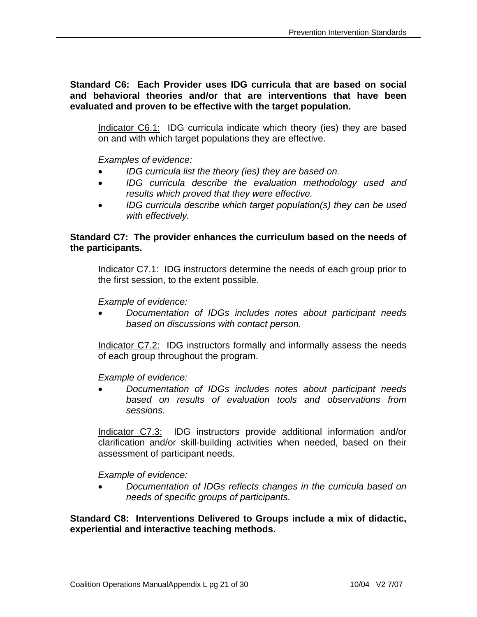**Standard C6: Each Provider uses IDG curricula that are based on social and behavioral theories and/or that are interventions that have been evaluated and proven to be effective with the target population.** 

Indicator C6.1: IDG curricula indicate which theory (ies) they are based on and with which target populations they are effective.

 *Examples of evidence:* 

- *IDG curricula list the theory (ies) they are based on.*
- *IDG curricula describe the evaluation methodology used and results which proved that they were effective.*
- *IDG curricula describe which target population(s) they can be used with effectively.*

## **Standard C7: The provider enhances the curriculum based on the needs of the participants.**

Indicator C7.1: IDG instructors determine the needs of each group prior to the first session, to the extent possible.

 *Example of evidence:* 

• *Documentation of IDGs includes notes about participant needs based on discussions with contact person.* 

Indicator C7.2: IDG instructors formally and informally assess the needs of each group throughout the program.

 *Example of evidence:* 

• *Documentation of IDGs includes notes about participant needs based on results of evaluation tools and observations from sessions.* 

Indicator C7.3: IDG instructors provide additional information and/or clarification and/or skill-building activities when needed, based on their assessment of participant needs.

 *Example of evidence:* 

• *Documentation of IDGs reflects changes in the curricula based on needs of specific groups of participants.* 

**Standard C8: Interventions Delivered to Groups include a mix of didactic, experiential and interactive teaching methods.**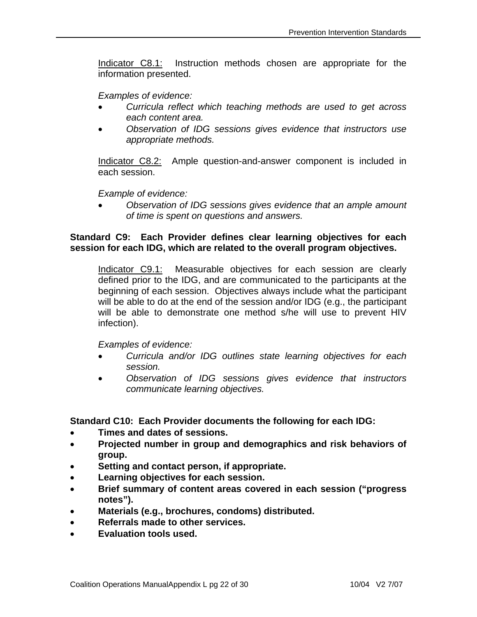Indicator C8.1: Instruction methods chosen are appropriate for the information presented.

 *Examples of evidence:* 

- *Curricula reflect which teaching methods are used to get across each content area.*
- *Observation of IDG sessions gives evidence that instructors use appropriate methods.*

Indicator C8.2: Ample question-and-answer component is included in each session.

 *Example of evidence:* 

• *Observation of IDG sessions gives evidence that an ample amount of time is spent on questions and answers.* 

## **Standard C9: Each Provider defines clear learning objectives for each session for each IDG, which are related to the overall program objectives.**

Indicator C9.1: Measurable objectives for each session are clearly defined prior to the IDG, and are communicated to the participants at the beginning of each session. Objectives always include what the participant will be able to do at the end of the session and/or IDG (e.g., the participant will be able to demonstrate one method s/he will use to prevent HIV infection).

 *Examples of evidence:* 

- *Curricula and/or IDG outlines state learning objectives for each session.*
- *Observation of IDG sessions gives evidence that instructors communicate learning objectives.*

**Standard C10: Each Provider documents the following for each IDG:** 

- **Times and dates of sessions.**
- **Projected number in group and demographics and risk behaviors of group.**
- **Setting and contact person, if appropriate.**
- **Learning objectives for each session.**
- **Brief summary of content areas covered in each session ("progress notes").**
- **Materials (e.g., brochures, condoms) distributed.**
- **Referrals made to other services.**
- **Evaluation tools used.**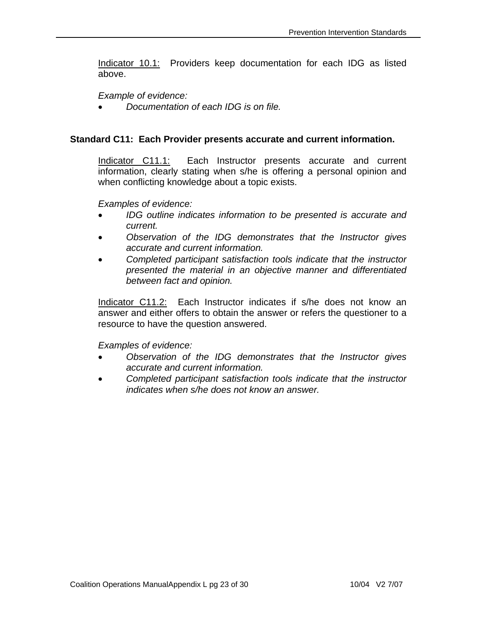Indicator 10.1: Providers keep documentation for each IDG as listed above.

 *Example of evidence:* 

• *Documentation of each IDG is on file.* 

### **Standard C11: Each Provider presents accurate and current information.**

Indicator C11.1: Each Instructor presents accurate and current information, clearly stating when s/he is offering a personal opinion and when conflicting knowledge about a topic exists.

 *Examples of evidence:* 

- *IDG outline indicates information to be presented is accurate and current.*
- *Observation of the IDG demonstrates that the Instructor gives accurate and current information.*
- *Completed participant satisfaction tools indicate that the instructor presented the material in an objective manner and differentiated between fact and opinion.*

Indicator C11.2:Each Instructor indicates if s/he does not know an answer and either offers to obtain the answer or refers the questioner to a resource to have the question answered.

- *Observation of the IDG demonstrates that the Instructor gives accurate and current information.*
- *Completed participant satisfaction tools indicate that the instructor indicates when s/he does not know an answer.*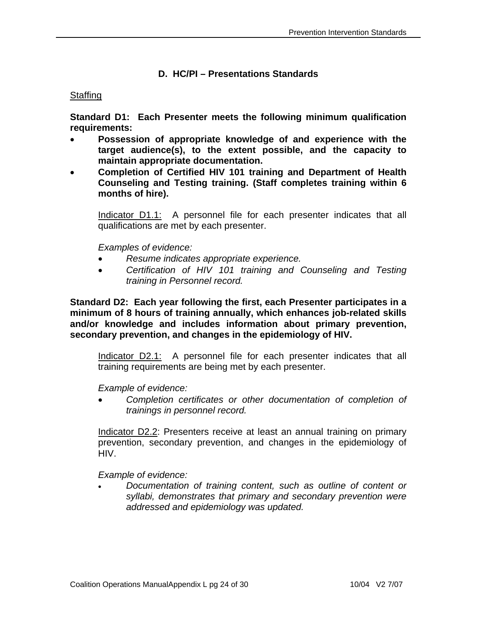## **D. HC/PI – Presentations Standards**

### Staffing

**Standard D1: Each Presenter meets the following minimum qualification requirements:** 

- **Possession of appropriate knowledge of and experience with the target audience(s), to the extent possible, and the capacity to maintain appropriate documentation.**
- **Completion of Certified HIV 101 training and Department of Health Counseling and Testing training. (Staff completes training within 6 months of hire).**

Indicator D1.1: A personnel file for each presenter indicates that all qualifications are met by each presenter.

 *Examples of evidence:* 

- *Resume indicates appropriate experience.*
- *Certification of HIV 101 training and Counseling and Testing training in Personnel record.*

**Standard D2: Each year following the first, each Presenter participates in a minimum of 8 hours of training annually, which enhances job-related skills and/or knowledge and includes information about primary prevention, secondary prevention, and changes in the epidemiology of HIV.** 

Indicator D2.1: A personnel file for each presenter indicates that all training requirements are being met by each presenter.

 *Example of evidence:* 

• *Completion certificates or other documentation of completion of trainings in personnel record.* 

Indicator D2.2: Presenters receive at least an annual training on primary prevention, secondary prevention, and changes in the epidemiology of HIV.

*Example of evidence:* 

• *Documentation of training content, such as outline of content or syllabi, demonstrates that primary and secondary prevention were addressed and epidemiology was updated.*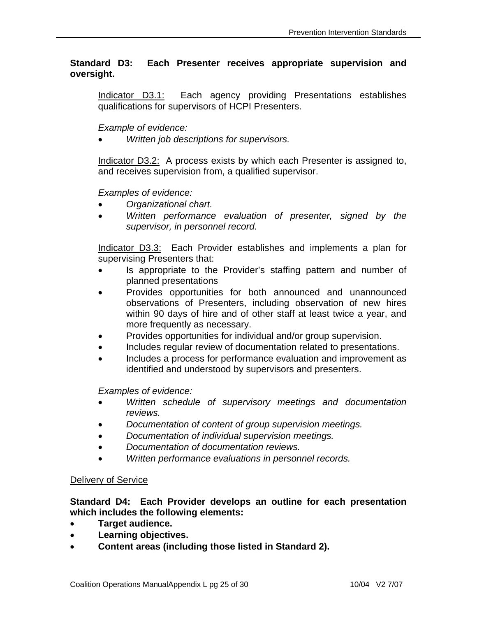## **Standard D3: Each Presenter receives appropriate supervision and oversight.**

Indicator D3.1: Each agency providing Presentations establishes qualifications for supervisors of HCPI Presenters.

## *Example of evidence:*

• *Written job descriptions for supervisors.* 

Indicator D3.2: A process exists by which each Presenter is assigned to, and receives supervision from, a qualified supervisor.

### *Examples of evidence:*

- *Organizational chart.*
- *Written performance evaluation of presenter, signed by the supervisor, in personnel record.*

Indicator D3.3: Each Provider establishes and implements a plan for supervising Presenters that:

- Is appropriate to the Provider's staffing pattern and number of planned presentations
- Provides opportunities for both announced and unannounced observations of Presenters, including observation of new hires within 90 days of hire and of other staff at least twice a year, and more frequently as necessary.
- Provides opportunities for individual and/or group supervision.
- Includes regular review of documentation related to presentations.
- Includes a process for performance evaluation and improvement as identified and understood by supervisors and presenters.

 *Examples of evidence:* 

- *Written schedule of supervisory meetings and documentation reviews.*
- *Documentation of content of group supervision meetings.*
- *Documentation of individual supervision meetings.*
- *Documentation of documentation reviews.*
- *Written performance evaluations in personnel records.*

#### Delivery of Service

### **Standard D4: Each Provider develops an outline for each presentation which includes the following elements:**

- **Target audience.**
- **Learning objectives.**
- **Content areas (including those listed in Standard 2).**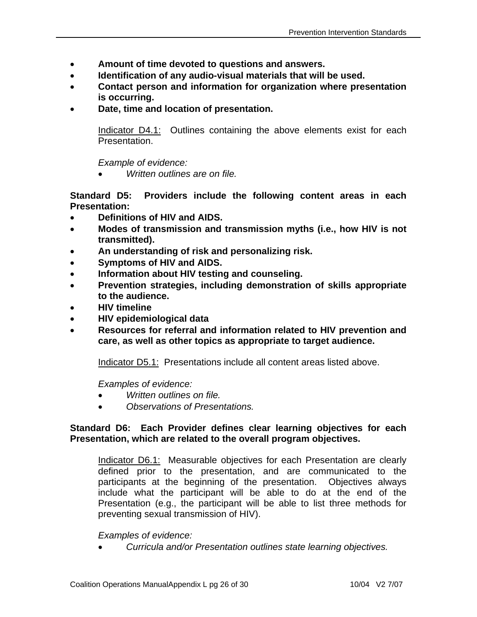- **Amount of time devoted to questions and answers.**
- **Identification of any audio-visual materials that will be used.**
- **Contact person and information for organization where presentation is occurring.**
- **Date, time and location of presentation.**

Indicator D4.1: Outlines containing the above elements exist for each Presentation.

 *Example of evidence:* 

• *Written outlines are on file.* 

**Standard D5: Providers include the following content areas in each Presentation:** 

- **Definitions of HIV and AIDS.**
- **Modes of transmission and transmission myths (i.e., how HIV is not transmitted).**
- **An understanding of risk and personalizing risk.**
- **Symptoms of HIV and AIDS.**
- **Information about HIV testing and counseling.**
- **Prevention strategies, including demonstration of skills appropriate to the audience.**
- **HIV timeline**
- **HIV epidemiological data**
- **Resources for referral and information related to HIV prevention and care, as well as other topics as appropriate to target audience.**

Indicator D5.1: Presentations include all content areas listed above.

 *Examples of evidence:* 

- *Written outlines on file.*
- *Observations of Presentations.*

## **Standard D6: Each Provider defines clear learning objectives for each Presentation, which are related to the overall program objectives.**

Indicator D6.1: Measurable objectives for each Presentation are clearly defined prior to the presentation, and are communicated to the participants at the beginning of the presentation. Objectives always include what the participant will be able to do at the end of the Presentation (e.g., the participant will be able to list three methods for preventing sexual transmission of HIV).

## *Examples of evidence:*

• *Curricula and/or Presentation outlines state learning objectives.*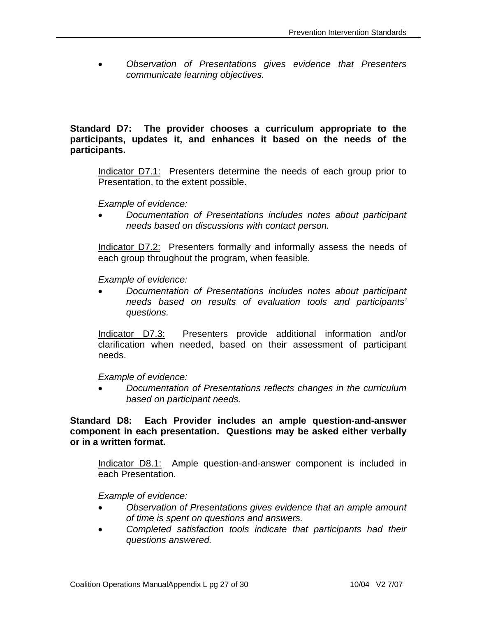• *Observation of Presentations gives evidence that Presenters communicate learning objectives.* 

## **Standard D7: The provider chooses a curriculum appropriate to the participants, updates it, and enhances it based on the needs of the participants.**

Indicator D7.1: Presenters determine the needs of each group prior to Presentation, to the extent possible.

 *Example of evidence:* 

• *Documentation of Presentations includes notes about participant needs based on discussions with contact person.* 

Indicator D7.2: Presenters formally and informally assess the needs of each group throughout the program, when feasible.

 *Example of evidence:* 

• *Documentation of Presentations includes notes about participant needs based on results of evaluation tools and participants' questions.* 

Indicator D7.3: Presenters provide additional information and/or clarification when needed, based on their assessment of participant needs.

*Example of evidence:* 

• *Documentation of Presentations reflects changes in the curriculum based on participant needs.* 

**Standard D8: Each Provider includes an ample question-and-answer component in each presentation. Questions may be asked either verbally or in a written format.** 

Indicator D8.1: Ample question-and-answer component is included in each Presentation.

- *Observation of Presentations gives evidence that an ample amount of time is spent on questions and answers.*
- *Completed satisfaction tools indicate that participants had their questions answered.*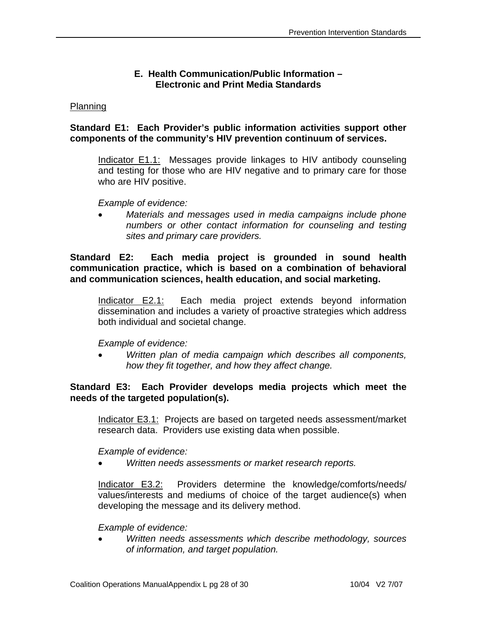## **E. Health Communication/Public Information – Electronic and Print Media Standards**

### Planning

## **Standard E1: Each Provider's public information activities support other components of the community's HIV prevention continuum of services.**

Indicator E1.1: Messages provide linkages to HIV antibody counseling and testing for those who are HIV negative and to primary care for those who are HIV positive.

 *Example of evidence:* 

• *Materials and messages used in media campaigns include phone numbers or other contact information for counseling and testing sites and primary care providers.* 

**Standard E2: Each media project is grounded in sound health communication practice, which is based on a combination of behavioral and communication sciences, health education, and social marketing.** 

Indicator E2.1: Each media project extends beyond information dissemination and includes a variety of proactive strategies which address both individual and societal change.

 *Example of evidence:* 

• *Written plan of media campaign which describes all components, how they fit together, and how they affect change.* 

## **Standard E3: Each Provider develops media projects which meet the needs of the targeted population(s).**

Indicator E3.1: Projects are based on targeted needs assessment/market research data. Providers use existing data when possible.

 *Example of evidence:* 

• *Written needs assessments or market research reports.*

Indicator E3.2: Providers determine the knowledge/comforts/needs/ values/interests and mediums of choice of the target audience(s) when developing the message and its delivery method.

 *Example of evidence:* 

• *Written needs assessments which describe methodology, sources of information, and target population.*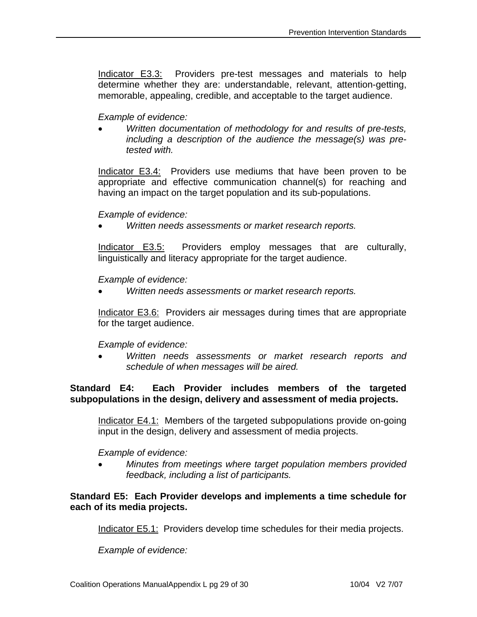Indicator E3.3: Providers pre-test messages and materials to help determine whether they are: understandable, relevant, attention-getting, memorable, appealing, credible, and acceptable to the target audience.

## *Example of evidence:*

• *Written documentation of methodology for and results of pre-tests, including a description of the audience the message(s) was pretested with.*

Indicator E3.4: Providers use mediums that have been proven to be appropriate and effective communication channel(s) for reaching and having an impact on the target population and its sub-populations.

## *Example of evidence:*

• *Written needs assessments or market research reports.*

Indicator E3.5: Providers employ messages that are culturally, linguistically and literacy appropriate for the target audience.

## *Example of evidence:*

• *Written needs assessments or market research reports.*

Indicator E3.6: Providers air messages during times that are appropriate for the target audience.

## *Example of evidence:*

• *Written needs assessments or market research reports and schedule of when messages will be aired.*

## **Standard E4: Each Provider includes members of the targeted subpopulations in the design, delivery and assessment of media projects.**

Indicator E4.1: Members of the targeted subpopulations provide on-going input in the design, delivery and assessment of media projects.

## *Example of evidence:*

• *Minutes from meetings where target population members provided feedback, including a list of participants.*

## **Standard E5: Each Provider develops and implements a time schedule for each of its media projects.**

Indicator E5.1: Providers develop time schedules for their media projects.